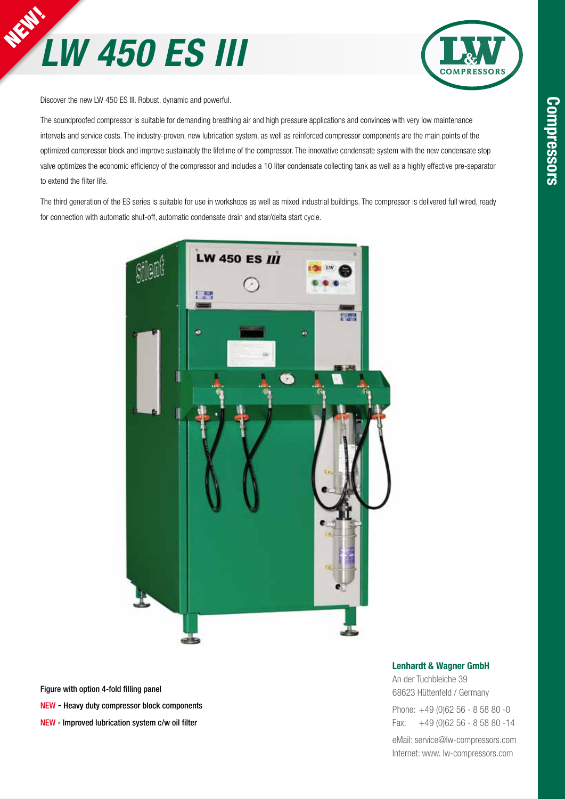



Discover the new LW 450 ES III. Robust, dynamic and powerful.

The soundproofed compressor is suitable for demanding breathing air and high pressure applications and convinces with very low maintenance intervals and service costs. The industry-proven, new lubrication system, as well as reinforced compressor components are the main points of the optimized compressor block and improve sustainably the lifetime of the compressor. The innovative condensate system with the new condensate stop valve optimizes the economic efficiency of the compressor and includes a 10 liter condensate collecting tank as well as a highly effective pre-separator to extend the filter life.

The third generation of the ES series is suitable for use in workshops as well as mixed industrial buildings. The compressor is delivered full wired, ready for connection with automatic shut-off, automatic condensate drain and star/delta start cycle.



Figure with option 4-fold filling panel NEW - Heavy duty compressor block components NEW - Improved lubrication system c/w oil filter

#### Lenhardt & Wagner GmbH

An der Tuchbleiche 39 68623 Hüttenfeld / Germany Phone: +49 (0)62 56 - 8 58 80 -0 Fax: +49 (0)62 56 - 8 58 80 -14

eMail: service@lw-compressors.com Internet: www. lw-compressors.com